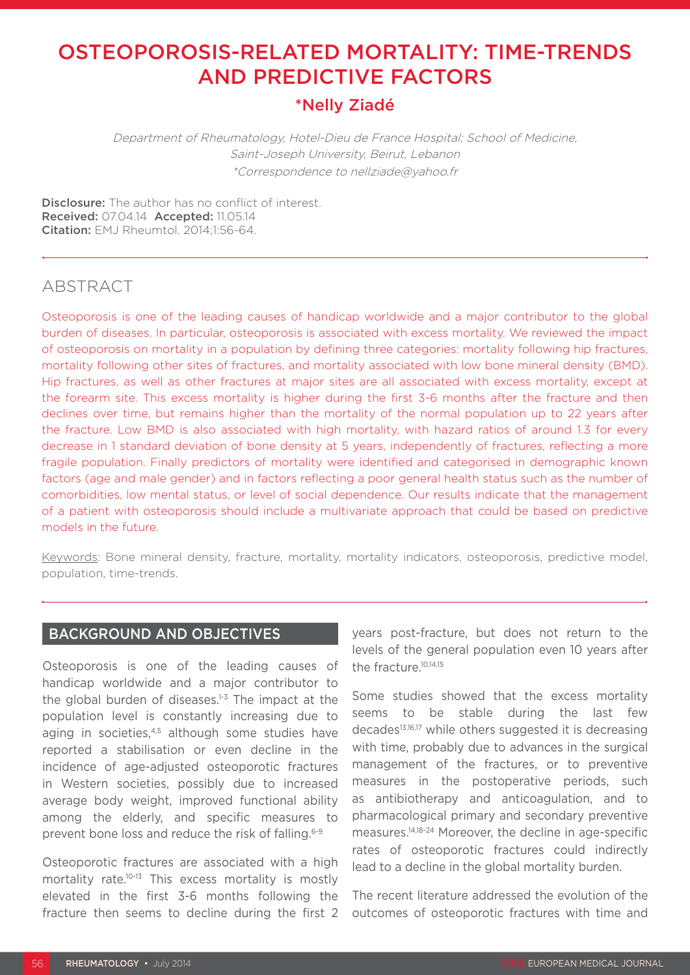# OSTEOPOROSIS-RELATED MORTALITY: TIME-TRENDS AND PREDICTIVE FACTORS

## \*Nelly Ziadé

Department of Rheumatology, Hotel-Dieu de France Hospital; School of Medicine, Saint-Joseph University, Beirut, Lebanon \*Correspondence to nellziade@yahoo.fr

**Disclosure:** The author has no conflict of interest. Received: 07.04.14 Accepted: 11.05.14 Citation: EMJ Rheumtol. 2014;1:56-64.

## ABSTRACT

Osteoporosis is one of the leading causes of handicap worldwide and a major contributor to the global burden of diseases. In particular, osteoporosis is associated with excess mortality. We reviewed the impact of osteoporosis on mortality in a population by defining three categories: mortality following hip fractures, mortality following other sites of fractures, and mortality associated with low bone mineral density (BMD). Hip fractures, as well as other fractures at major sites are all associated with excess mortality, except at the forearm site. This excess mortality is higher during the first 3-6 months after the fracture and then declines over time, but remains higher than the mortality of the normal population up to 22 years after the fracture. Low BMD is also associated with high mortality, with hazard ratios of around 1.3 for every decrease in 1 standard deviation of bone density at 5 years, independently of fractures, reflecting a more fragile population. Finally predictors of mortality were identified and categorised in demographic known factors (age and male gender) and in factors reflecting a poor general health status such as the number of comorbidities, low mental status, or level of social dependence. Our results indicate that the management of a patient with osteoporosis should include a multivariate approach that could be based on predictive models in the future.

Keywords: Bone mineral density, fracture, mortality, mortality indicators, osteoporosis, predictive model, population, time-trends.

## BACKGROUND AND OBJECTIVES

Osteoporosis is one of the leading causes of handicap worldwide and a major contributor to the global burden of diseases. $1-3$  The impact at the population level is constantly increasing due to aging in societies,<sup>4,5</sup> although some studies have reported a stabilisation or even decline in the incidence of age-adjusted osteoporotic fractures in Western societies, possibly due to increased average body weight, improved functional ability among the elderly, and specific measures to prevent bone loss and reduce the risk of falling.6-9

Osteoporotic fractures are associated with a high mortality rate.10-13 This excess mortality is mostly elevated in the first 3-6 months following the fracture then seems to decline during the first 2 years post-fracture, but does not return to the levels of the general population even 10 years after the fracture.10,14,15

Some studies showed that the excess mortality seems to be stable during the last few decades<sup>13,16,17</sup> while others suggested it is decreasing with time, probably due to advances in the surgical management of the fractures, or to preventive measures in the postoperative periods, such as antibiotherapy and anticoagulation, and to pharmacological primary and secondary preventive measures.14,18-24 Moreover, the decline in age-specific rates of osteoporotic fractures could indirectly lead to a decline in the global mortality burden.

The recent literature addressed the evolution of the outcomes of osteoporotic fractures with time and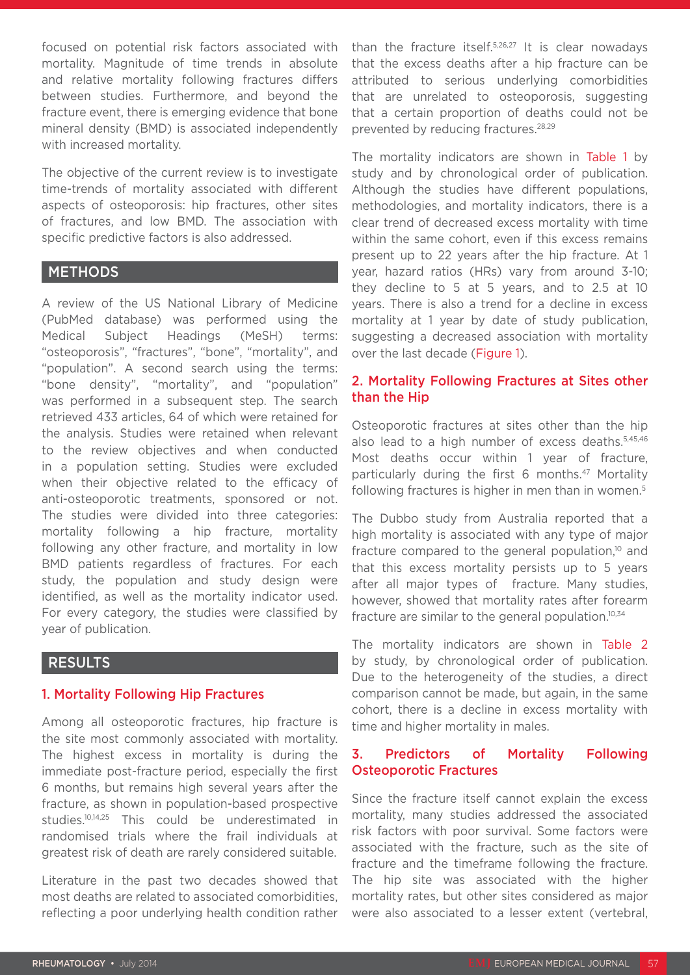focused on potential risk factors associated with mortality. Magnitude of time trends in absolute and relative mortality following fractures differs between studies. Furthermore, and beyond the fracture event, there is emerging evidence that bone mineral density (BMD) is associated independently with increased mortality.

The objective of the current review is to investigate time-trends of mortality associated with different aspects of osteoporosis: hip fractures, other sites of fractures, and low BMD. The association with specific predictive factors is also addressed.

#### METHODS

A review of the US National Library of Medicine (PubMed database) was performed using the Medical Subject Headings (MeSH) terms: "osteoporosis", "fractures", "bone", "mortality", and "population". A second search using the terms: "bone density", "mortality", and "population" was performed in a subsequent step. The search retrieved 433 articles, 64 of which were retained for the analysis. Studies were retained when relevant to the review objectives and when conducted in a population setting. Studies were excluded when their objective related to the efficacy of anti-osteoporotic treatments, sponsored or not. The studies were divided into three categories: mortality following a hip fracture, mortality following any other fracture, and mortality in low BMD patients regardless of fractures. For each study, the population and study design were identified, as well as the mortality indicator used. For every category, the studies were classified by year of publication.

## RESULTS

## 1. Mortality Following Hip Fractures

Among all osteoporotic fractures, hip fracture is the site most commonly associated with mortality. The highest excess in mortality is during the immediate post-fracture period, especially the first 6 months, but remains high several years after the fracture, as shown in population-based prospective studies.10,14,25 This could be underestimated in randomised trials where the frail individuals at greatest risk of death are rarely considered suitable.

Literature in the past two decades showed that most deaths are related to associated comorbidities, reflecting a poor underlying health condition rather than the fracture itself.5,26,27 It is clear nowadays that the excess deaths after a hip fracture can be attributed to serious underlying comorbidities that are unrelated to osteoporosis, suggesting that a certain proportion of deaths could not be prevented by reducing fractures.<sup>28,29</sup>

The mortality indicators are shown in Table 1 by study and by chronological order of publication. Although the studies have different populations, methodologies, and mortality indicators, there is a clear trend of decreased excess mortality with time within the same cohort, even if this excess remains present up to 22 years after the hip fracture. At 1 year, hazard ratios (HRs) vary from around 3-10; they decline to 5 at 5 years, and to 2.5 at 10 years. There is also a trend for a decline in excess mortality at 1 year by date of study publication, suggesting a decreased association with mortality over the last decade (Figure 1).

## 2. Mortality Following Fractures at Sites other than the Hip

Osteoporotic fractures at sites other than the hip also lead to a high number of excess deaths.5,45,46 Most deaths occur within 1 year of fracture, particularly during the first 6 months.<sup>47</sup> Mortality following fractures is higher in men than in women.<sup>5</sup>

The Dubbo study from Australia reported that a high mortality is associated with any type of major fracture compared to the general population,<sup>10</sup> and that this excess mortality persists up to 5 years after all major types of fracture. Many studies, however, showed that mortality rates after forearm fracture are similar to the general population.<sup>10,34</sup>

The mortality indicators are shown in Table 2 by study, by chronological order of publication. Due to the heterogeneity of the studies, a direct comparison cannot be made, but again, in the same cohort, there is a decline in excess mortality with time and higher mortality in males.

## 3. Predictors of Mortality Following Osteoporotic Fractures

Since the fracture itself cannot explain the excess mortality, many studies addressed the associated risk factors with poor survival. Some factors were associated with the fracture, such as the site of fracture and the timeframe following the fracture. The hip site was associated with the higher mortality rates, but other sites considered as major were also associated to a lesser extent (vertebral,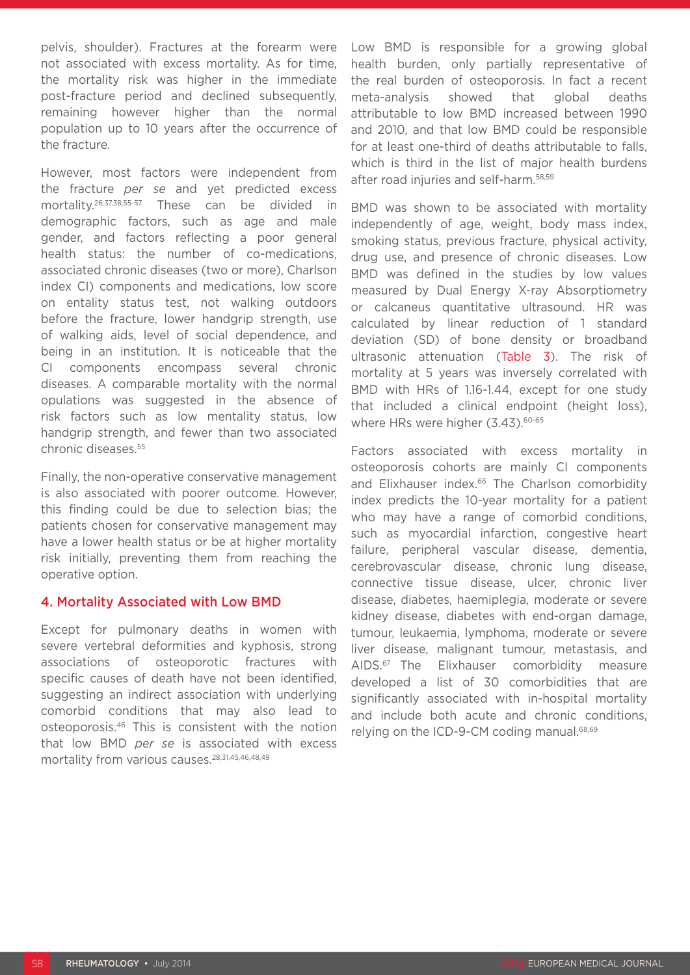pelvis, shoulder). Fractures at the forearm were not associated with excess mortality. As for time, the mortality risk was higher in the immediate post-fracture period and declined subsequently, remaining however higher than the normal population up to 10 years after the occurrence of the fracture.

However, most factors were independent from the fracture *per se* and yet predicted excess mortality.26,37,38,55-57 These can be divided in demographic factors, such as age and male gender, and factors reflecting a poor general health status: the number of co-medications, associated chronic diseases (two or more), Charlson index CI) components and medications, low score on entality status test, not walking outdoors before the fracture, lower handgrip strength, use of walking aids, level of social dependence, and being in an institution. It is noticeable that the CI components encompass several chronic diseases. A comparable mortality with the normal opulations was suggested in the absence of risk factors such as low mentality status, low handgrip strength, and fewer than two associated chronic diseases.55

Finally, the non-operative conservative management is also associated with poorer outcome. However, this finding could be due to selection bias; the patients chosen for conservative management may have a lower health status or be at higher mortality risk initially, preventing them from reaching the operative option.

#### 4. Mortality Associated with Low BMD

Except for pulmonary deaths in women with severe vertebral deformities and kyphosis, strong associations of osteoporotic fractures with specific causes of death have not been identified, suggesting an indirect association with underlying comorbid conditions that may also lead to osteoporosis.46 This is consistent with the notion that low BMD *per se* is associated with excess mortality from various causes.28,31,45,46,48,49

Low BMD is responsible for a growing global health burden, only partially representative of the real burden of osteoporosis. In fact a recent meta-analysis showed that global deaths attributable to low BMD increased between 1990 and 2010, and that low BMD could be responsible for at least one-third of deaths attributable to falls, which is third in the list of major health burdens after road injuries and self-harm.58,59

BMD was shown to be associated with mortality independently of age, weight, body mass index, smoking status, previous fracture, physical activity, drug use, and presence of chronic diseases. Low BMD was defined in the studies by low values measured by Dual Energy X-ray Absorptiometry or calcaneus quantitative ultrasound. HR was calculated by linear reduction of 1 standard deviation (SD) of bone density or broadband ultrasonic attenuation (Table 3). The risk of mortality at 5 years was inversely correlated with BMD with HRs of 1.16-1.44, except for one study that included a clinical endpoint (height loss), where HRs were higher (3.43).<sup>60-65</sup>

Factors associated with excess mortality in osteoporosis cohorts are mainly CI components and Elixhauser index.<sup>66</sup> The Charlson comorbidity index predicts the 10-year mortality for a patient who may have a range of comorbid conditions, such as myocardial infarction, congestive heart failure, peripheral vascular disease, dementia, cerebrovascular disease, chronic lung disease, connective tissue disease, ulcer, chronic liver disease, diabetes, haemiplegia, moderate or severe kidney disease, diabetes with end-organ damage, tumour, leukaemia, lymphoma, moderate or severe liver disease, malignant tumour, metastasis, and AIDS.67 The Elixhauser comorbidity measure developed a list of 30 comorbidities that are significantly associated with in-hospital mortality and include both acute and chronic conditions, relying on the ICD-9-CM coding manual.68,69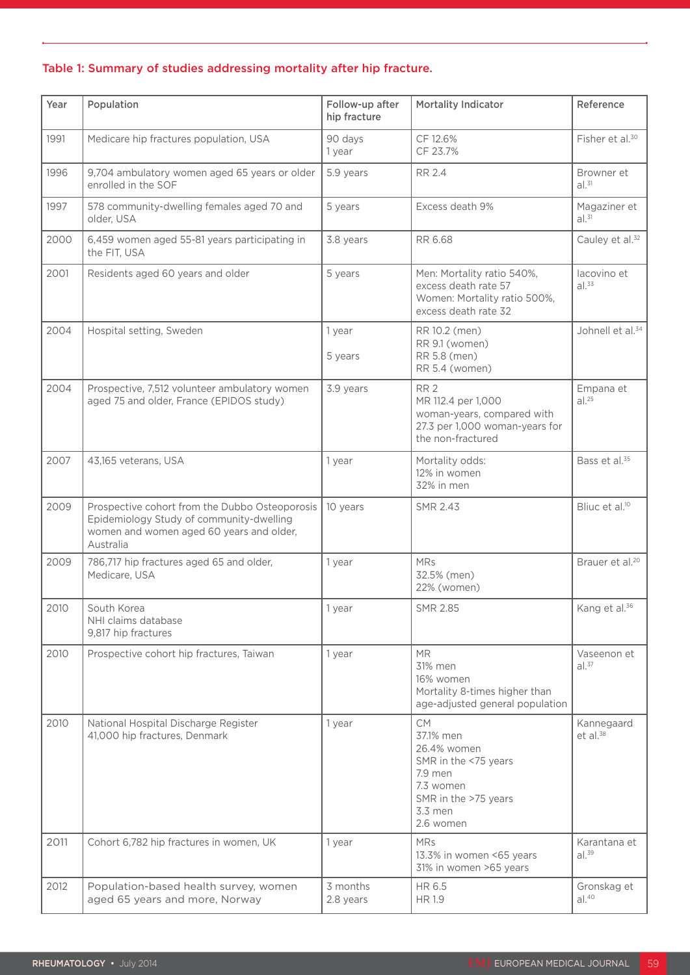## Table 1: Summary of studies addressing mortality after hip fracture.

| Year | Population                                                                                                                                          | Follow-up after<br>hip fracture | <b>Mortality Indicator</b>                                                                                                            | Reference                         |
|------|-----------------------------------------------------------------------------------------------------------------------------------------------------|---------------------------------|---------------------------------------------------------------------------------------------------------------------------------------|-----------------------------------|
| 1991 | Medicare hip fractures population, USA                                                                                                              | 90 days<br>1 year               | CF 12.6%<br>CF 23.7%                                                                                                                  | Fisher et al. <sup>30</sup>       |
| 1996 | 9,704 ambulatory women aged 65 years or older<br>enrolled in the SOF                                                                                | 5.9 years                       | <b>RR 2.4</b>                                                                                                                         | Browner et<br>$al.^{31}$          |
| 1997 | 578 community-dwelling females aged 70 and<br>older, USA                                                                                            | 5 years                         | Excess death 9%                                                                                                                       | Magaziner et<br>al. <sup>31</sup> |
| 2000 | 6,459 women aged 55-81 years participating in<br>the FIT, USA                                                                                       | 3.8 years                       | RR 6.68                                                                                                                               | Cauley et al. <sup>32</sup>       |
| 2001 | Residents aged 60 years and older                                                                                                                   | 5 years                         | Men: Mortality ratio 540%,<br>excess death rate 57<br>Women: Mortality ratio 500%,<br>excess death rate 32                            | lacovino et<br>$al.^{33}$         |
| 2004 | Hospital setting, Sweden                                                                                                                            | 1 year<br>5 years               | RR 10.2 (men)<br>RR 9.1 (women)<br>RR 5.8 (men)<br>RR 5.4 (women)                                                                     | Johnell et al. <sup>34</sup>      |
| 2004 | Prospective, 7,512 volunteer ambulatory women<br>aged 75 and older, France (EPIDOS study)                                                           | 3.9 years                       | RR <sub>2</sub><br>MR 112.4 per 1,000<br>woman-years, compared with<br>27.3 per 1,000 woman-years for<br>the non-fractured            | Empana et<br>al. <sup>25</sup>    |
| 2007 | 43,165 veterans, USA                                                                                                                                | 1 year                          | Mortality odds:<br>12% in women<br>32% in men                                                                                         | Bass et al. <sup>35</sup>         |
| 2009 | Prospective cohort from the Dubbo Osteoporosis<br>Epidemiology Study of community-dwelling<br>women and women aged 60 years and older,<br>Australia | 10 years                        | <b>SMR 2.43</b>                                                                                                                       | Bliuc et al. <sup>10</sup>        |
| 2009 | 786,717 hip fractures aged 65 and older,<br>Medicare, USA                                                                                           | 1 year                          | <b>MRs</b><br>32.5% (men)<br>22% (women)                                                                                              | Brauer et al. <sup>20</sup>       |
| 2010 | South Korea<br>NHI claims database<br>9,817 hip fractures                                                                                           | 1 year                          | <b>SMR 2.85</b>                                                                                                                       | Kang et al. <sup>36</sup>         |
| 2010 | Prospective cohort hip fractures, Taiwan                                                                                                            | 1 year                          | <b>MR</b><br>31% men<br>16% women<br>Mortality 8-times higher than<br>age-adjusted general population                                 | Vaseenon et<br>$al.^{37}$         |
| 2010 | National Hospital Discharge Register<br>41,000 hip fractures, Denmark                                                                               | 1 year                          | <b>CM</b><br>37.1% men<br>26.4% women<br>SMR in the <75 years<br>7.9 men<br>7.3 women<br>SMR in the >75 years<br>3.3 men<br>2.6 women | Kannegaard<br>$et$ al. $38$       |
| 2011 | Cohort 6,782 hip fractures in women, UK                                                                                                             | 1 year                          | <b>MRs</b><br>13.3% in women <65 years<br>31% in women >65 years                                                                      | Karantana et<br>al. <sup>39</sup> |
| 2012 | Population-based health survey, women<br>aged 65 years and more, Norway                                                                             | 3 months<br>2.8 years           | HR 6.5<br><b>HR 1.9</b>                                                                                                               | Gronskag et<br>al. <sup>40</sup>  |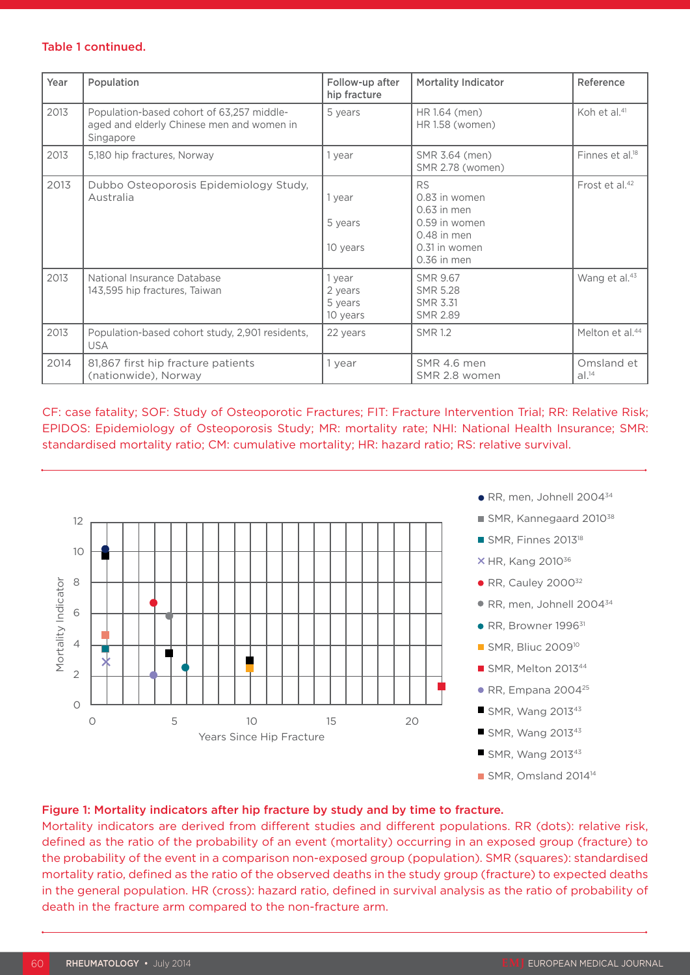#### Table 1 continued.

| Year | Population                                                                                          | Follow-up after<br>hip fracture          | <b>Mortality Indicator</b>                                                                                    | Reference                   |
|------|-----------------------------------------------------------------------------------------------------|------------------------------------------|---------------------------------------------------------------------------------------------------------------|-----------------------------|
| 2013 | Population-based cohort of 63,257 middle-<br>aged and elderly Chinese men and women in<br>Singapore | 5 years                                  | HR 1.64 (men)<br>HR 1.58 (women)                                                                              | Koh et al. <sup>41</sup>    |
| 2013 | 5,180 hip fractures, Norway                                                                         | 1 year                                   | SMR 3.64 (men)<br>SMR 2.78 (women)                                                                            | Finnes et al. <sup>18</sup> |
| 2013 | Dubbo Osteoporosis Epidemiology Study,<br>Australia                                                 | 1 year<br>5 years<br>10 years            | <b>RS</b><br>0.83 in women<br>$0.63$ in men<br>0.59 in women<br>$0.48$ in men<br>0.31 in women<br>0.36 in men | Frost et al. <sup>42</sup>  |
| 2013 | National Insurance Database<br>143,595 hip fractures, Taiwan                                        | 1 year<br>2 years<br>5 years<br>10 years | <b>SMR 9.67</b><br><b>SMR 5.28</b><br><b>SMR 3.31</b><br><b>SMR 2.89</b>                                      | Wang et al. <sup>43</sup>   |
| 2013 | Population-based cohort study, 2,901 residents,<br><b>USA</b>                                       | 22 years                                 | <b>SMR 1.2</b>                                                                                                | Melton et al. <sup>44</sup> |
| 2014 | 81,867 first hip fracture patients<br>(nationwide), Norway                                          | 1 year                                   | SMR 4.6 men<br>SMR 2.8 women                                                                                  | Omsland et<br>$al.^{14}$    |

CF: case fatality; SOF: Study of Osteoporotic Fractures; FIT: Fracture Intervention Trial; RR: Relative Risk; EPIDOS: Epidemiology of Osteoporosis Study; MR: mortality rate; NHI: National Health Insurance; SMR: standardised mortality ratio; CM: cumulative mortality; HR: hazard ratio; RS: relative survival.



- RR, men, Johnell 2004<sup>34</sup>
- SMR, Kannegaard 2010<sup>38</sup>
- SMR, Finnes 2013<sup>18</sup>
- $\times$  HR, Kang 2010 $^{36}$
- $\bullet$  RR, Cauley 2000 $32$
- RR, men, Johnell 2004<sup>34</sup>
- RR, Browner 1996<sup>31</sup>
- **SMR, Bliuc 2009<sup>10</sup>**
- $\blacksquare$  SMR, Melton 2013<sup>44</sup>
- $\bullet$  RR, Empana 2004<sup>25</sup>
- $\blacksquare$  SMR, Wang 2013<sup>43</sup>
- $\blacksquare$  SMR, Wang 2013<sup>43</sup>
- $\blacksquare$  SMR, Wang 2013<sup>43</sup>
- SMR, Omsland 2014<sup>14</sup>

#### Figure 1: Mortality indicators after hip fracture by study and by time to fracture.

Mortality indicators are derived from different studies and different populations. RR (dots): relative risk, defined as the ratio of the probability of an event (mortality) occurring in an exposed group (fracture) to the probability of the event in a comparison non-exposed group (population). SMR (squares): standardised mortality ratio, defined as the ratio of the observed deaths in the study group (fracture) to expected deaths in the general population. HR (cross): hazard ratio, defined in survival analysis as the ratio of probability of death in the fracture arm compared to the non-fracture arm.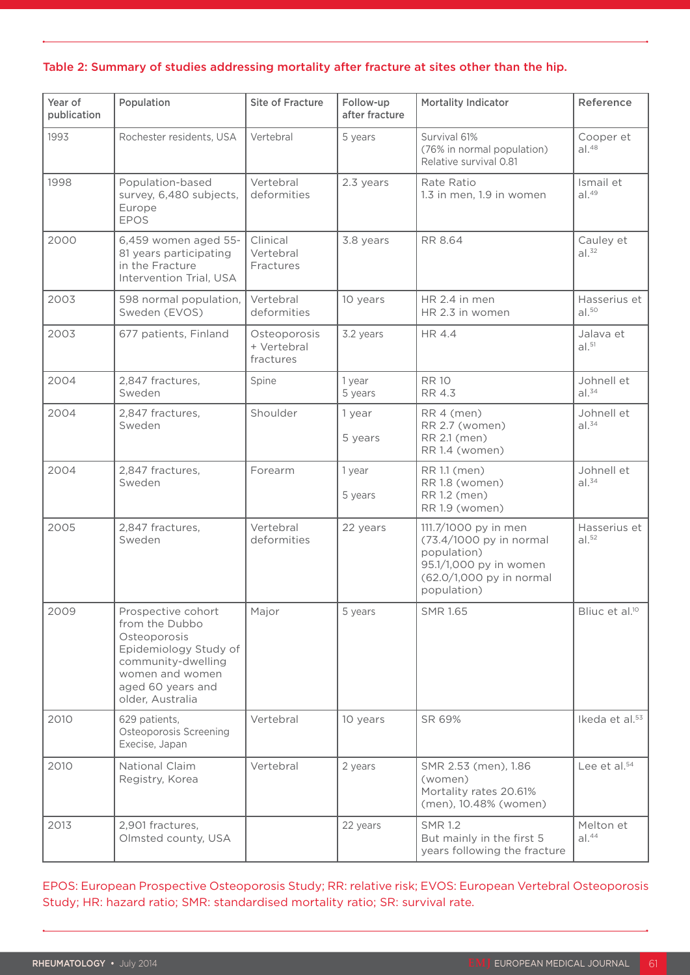#### Table 2: Summary of studies addressing mortality after fracture at sites other than the hip.

| Year of<br>publication | Population                                                                                                                                                      | <b>Site of Fracture</b>                  | Follow-up<br>after fracture | <b>Mortality Indicator</b>                                                                                                          | Reference                         |
|------------------------|-----------------------------------------------------------------------------------------------------------------------------------------------------------------|------------------------------------------|-----------------------------|-------------------------------------------------------------------------------------------------------------------------------------|-----------------------------------|
| 1993                   | Rochester residents, USA                                                                                                                                        | Vertebral                                | 5 years                     | Survival 61%<br>(76% in normal population)<br>Relative survival 0.81                                                                | Cooper et<br>al. <sup>48</sup>    |
| 1998                   | Population-based<br>survey, 6,480 subjects,<br>Europe<br><b>EPOS</b>                                                                                            | Vertebral<br>deformities                 | 2.3 years                   | Rate Ratio<br>1.3 in men, 1.9 in women                                                                                              | Ismail et<br>al. <sup>49</sup>    |
| 2000                   | 6,459 women aged 55-<br>81 years participating<br>in the Fracture<br>Intervention Trial, USA                                                                    | Clinical<br>Vertebral<br>Fractures       | 3.8 years                   | RR 8.64                                                                                                                             | Cauley et<br>al. <sup>32</sup>    |
| 2003                   | 598 normal population,<br>Sweden (EVOS)                                                                                                                         | Vertebral<br>deformities                 | 10 years                    | HR 2.4 in men<br>HR 2.3 in women                                                                                                    | Hasserius et<br>al. <sup>50</sup> |
| 2003                   | 677 patients, Finland                                                                                                                                           | Osteoporosis<br>+ Vertebral<br>fractures | 3.2 years                   | HR 4.4                                                                                                                              | Jalava et<br>al. <sup>51</sup>    |
| 2004                   | 2,847 fractures,<br>Sweden                                                                                                                                      | Spine                                    | 1 year<br>5 years           | <b>RR10</b><br>RR 4.3                                                                                                               | Johnell et<br>$al.^{34}$          |
| 2004                   | 2,847 fractures,<br>Sweden                                                                                                                                      | Shoulder                                 | 1 year<br>5 years           | RR 4 (men)<br>RR 2.7 (women)<br>RR 2.1 (men)<br>RR 1.4 (women)                                                                      | Johnell et<br>$al.^{34}$          |
| 2004                   | 2,847 fractures,<br>Sweden                                                                                                                                      | Forearm                                  | 1 year<br>5 years           | RR 1.1 (men)<br>RR 1.8 (women)<br>RR 1.2 (men)<br>RR 1.9 (women)                                                                    | Johnell et<br>$al.^{34}$          |
| 2005                   | 2,847 fractures,<br>Sweden                                                                                                                                      | Vertebral<br>deformities                 | 22 years                    | 111.7/1000 py in men<br>(73.4/1000 py in normal<br>population)<br>95.1/1,000 py in women<br>(62.0/1,000 py in normal<br>population) | Hasserius et<br>al. <sup>52</sup> |
| 2009                   | Prospective cohort<br>from the Dubbo<br>Osteoporosis<br>Epidemiology Study of<br>community-dwelling<br>women and women<br>aged 60 years and<br>older, Australia | Major                                    | 5 years                     | <b>SMR 1.65</b>                                                                                                                     | Bliuc et al. <sup>10</sup>        |
| 2010                   | 629 patients,<br>Osteoporosis Screening<br>Execise, Japan                                                                                                       | Vertebral                                | 10 years                    | SR 69%                                                                                                                              | Ikeda et al. <sup>53</sup>        |
| 2010                   | National Claim<br>Registry, Korea                                                                                                                               | Vertebral                                | 2 years                     | SMR 2.53 (men), 1.86<br>(women)<br>Mortality rates 20.61%<br>(men), 10.48% (women)                                                  | Lee et al. <sup>54</sup>          |
| 2013                   | 2,901 fractures,<br>Olmsted county, USA                                                                                                                         |                                          | 22 years                    | <b>SMR 1.2</b><br>But mainly in the first 5<br>years following the fracture                                                         | Melton et<br>$al.^{44}$           |

EPOS: European Prospective Osteoporosis Study; RR: relative risk; EVOS: European Vertebral Osteoporosis Study; HR: hazard ratio; SMR: standardised mortality ratio; SR: survival rate.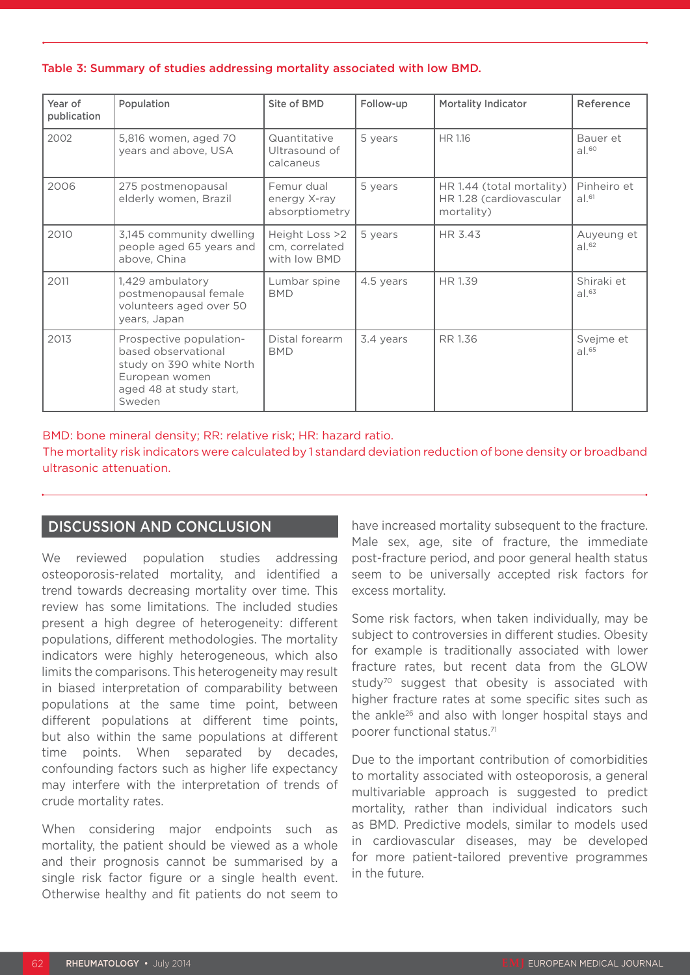#### Table 3: Summary of studies addressing mortality associated with low BMD.

| Year of<br>publication | Population                                                                                                                        | Site of BMD                                      | Follow-up | Mortality Indicator                                                | Reference                       |
|------------------------|-----------------------------------------------------------------------------------------------------------------------------------|--------------------------------------------------|-----------|--------------------------------------------------------------------|---------------------------------|
| 2002                   | 5,816 women, aged 70<br>years and above, USA                                                                                      | Quantitative<br>Ultrasound of<br>calcaneus       | 5 years   | HR 1.16                                                            | Bauer et<br>al. <sup>60</sup>   |
| 2006                   | 275 postmenopausal<br>elderly women, Brazil                                                                                       | Femur dual<br>energy X-ray<br>absorptiometry     | 5 years   | HR 1.44 (total mortality)<br>HR 1.28 (cardiovascular<br>mortality) | Pinheiro et<br>$al.^{61}$       |
| 2010                   | 3,145 community dwelling<br>people aged 65 years and<br>above, China                                                              | Height Loss >2<br>cm, correlated<br>with low BMD | 5 years   | HR 3.43                                                            | Auyeung et<br>al. <sup>62</sup> |
| 2011                   | 1,429 ambulatory<br>postmenopausal female<br>volunteers aged over 50<br>years, Japan                                              | Lumbar spine<br><b>BMD</b>                       | 4.5 years | HR 1.39                                                            | Shiraki et<br>$al.^{63}$        |
| 2013                   | Prospective population-<br>based observational<br>study on 390 white North<br>European women<br>aged 48 at study start,<br>Sweden | Distal forearm<br><b>BMD</b>                     | 3.4 years | RR 1.36                                                            | Svejme et<br>$al.^{65}$         |

BMD: bone mineral density; RR: relative risk; HR: hazard ratio.

The mortality risk indicators were calculated by 1 standard deviation reduction of bone density or broadband ultrasonic attenuation.

## DISCUSSION AND CONCLUSION

We reviewed population studies addressing osteoporosis-related mortality, and identified a trend towards decreasing mortality over time. This review has some limitations. The included studies present a high degree of heterogeneity: different populations, different methodologies. The mortality indicators were highly heterogeneous, which also limits the comparisons. This heterogeneity may result in biased interpretation of comparability between populations at the same time point, between different populations at different time points, but also within the same populations at different time points. When separated by decades, confounding factors such as higher life expectancy may interfere with the interpretation of trends of crude mortality rates.

When considering major endpoints such as mortality, the patient should be viewed as a whole and their prognosis cannot be summarised by a single risk factor figure or a single health event. Otherwise healthy and fit patients do not seem to

have increased mortality subsequent to the fracture. Male sex, age, site of fracture, the immediate post-fracture period, and poor general health status seem to be universally accepted risk factors for excess mortality.

Some risk factors, when taken individually, may be subject to controversies in different studies. Obesity for example is traditionally associated with lower fracture rates, but recent data from the GLOW study<sup>70</sup> suggest that obesity is associated with higher fracture rates at some specific sites such as the ankle<sup>26</sup> and also with longer hospital stays and poorer functional status.71

Due to the important contribution of comorbidities to mortality associated with osteoporosis, a general multivariable approach is suggested to predict mortality, rather than individual indicators such as BMD. Predictive models, similar to models used in cardiovascular diseases, may be developed for more patient-tailored preventive programmes in the future.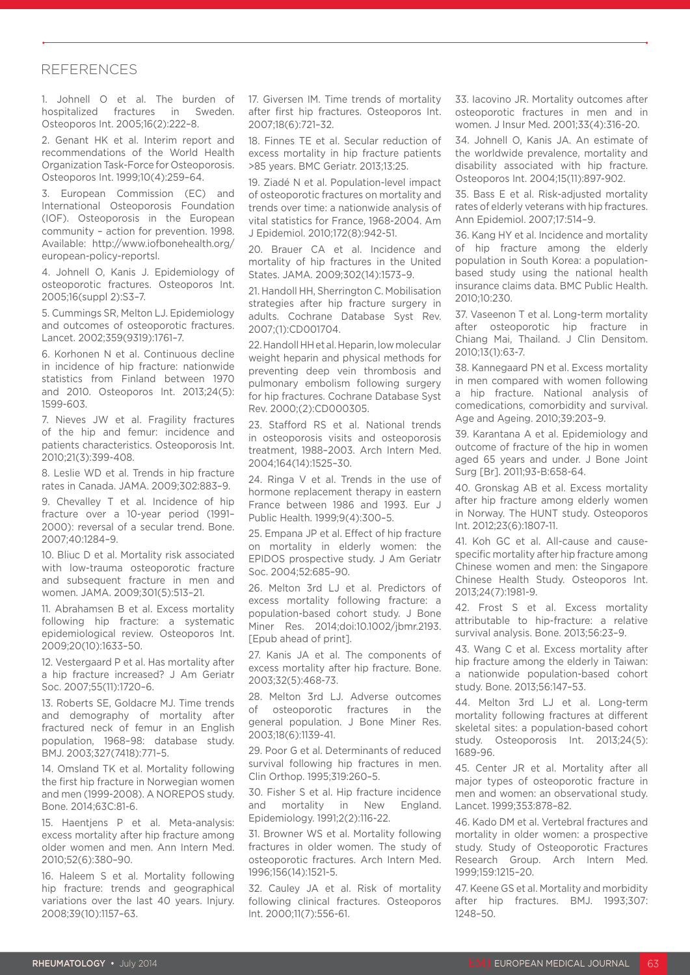## REFERENCES

1. Johnell O et al. The burden of hospitalized fractures in Sweden. Osteoporos Int. 2005;16(2):222–8.

2. Genant HK et al. Interim report and recommendations of the World Health Organization Task-Force for Osteoporosis. Osteoporos Int. 1999;10(4):259–64.

3. European Commission (EC) and International Osteoporosis Foundation (IOF). Osteoporosis in the European community – action for prevention. 1998. Available: http://www.iofbonehealth.org/ european-policy-reportsl.

4. Johnell O, Kanis J. Epidemiology of osteoporotic fractures. Osteoporos Int. 2005;16(suppl 2):S3–7.

5. Cummings SR, Melton LJ. Epidemiology and outcomes of osteoporotic fractures. Lancet. 2002;359(9319):1761–7.

6. Korhonen N et al. Continuous decline in incidence of hip fracture: nationwide statistics from Finland between 1970 and 2010. Osteoporos Int. 2013;24(5): 1599-603.

7. Nieves JW et al. Fragility fractures of the hip and femur: incidence and patients characteristics. Osteoporosis Int. 2010;21(3):399-408.

8. Leslie WD et al. Trends in hip fracture rates in Canada. JAMA. 2009;302:883–9.

9. Chevalley T et al. Incidence of hip fracture over a 10-year period (1991– 2000): reversal of a secular trend. Bone. 2007;40:1284–9.

10. Bliuc D et al. Mortality risk associated with low-trauma osteoporotic fracture and subsequent fracture in men and women. JAMA. 2009;301(5):513–21.

11. Abrahamsen B et al. Excess mortality following hip fracture: a systematic epidemiological review. Osteoporos Int. 2009;20(10):1633–50.

12. Vestergaard P et al. Has mortality after a hip fracture increased? J Am Geriatr Soc. 2007;55(11):1720–6.

13. Roberts SE, Goldacre MJ. Time trends and demography of mortality after fractured neck of femur in an English population, 1968–98: database study. BMJ. 2003;327(7418):771–5.

14. Omsland TK et al. Mortality following the first hip fracture in Norwegian women and men (1999-2008). A NOREPOS study. Bone. 2014;63C:81-6.

15. Haentjens P et al. Meta-analysis: excess mortality after hip fracture among older women and men. Ann Intern Med. 2010;52(6):380–90.

16. Haleem S et al. Mortality following hip fracture: trends and geographical variations over the last 40 years. Injury. 2008;39(10):1157–63.

17. Giversen IM. Time trends of mortality after first hip fractures. Osteoporos Int. 2007;18(6):721–32.

18. Finnes TE et al. Secular reduction of excess mortality in hip fracture patients >85 years. BMC Geriatr. 2013;13:25.

19. Ziadé N et al. Population-level impact of osteoporotic fractures on mortality and trends over time: a nationwide analysis of vital statistics for France, 1968-2004. Am J Epidemiol. 2010;172(8):942-51.

20. Brauer CA et al. Incidence and mortality of hip fractures in the United States. JAMA. 2009;302(14):1573–9.

21. Handoll HH, Sherrington C. Mobilisation strategies after hip fracture surgery in adults. Cochrane Database Syst Rev. 2007;(1):CD001704.

22. Handoll HH et al. Heparin, low molecular weight heparin and physical methods for preventing deep vein thrombosis and pulmonary embolism following surgery for hip fractures. Cochrane Database Syst Rev. 2000;(2):CD000305.

23. Stafford RS et al. National trends in osteoporosis visits and osteoporosis treatment, 1988–2003. Arch Intern Med. 2004;164(14):1525–30.

24. Ringa V et al. Trends in the use of hormone replacement therapy in eastern France between 1986 and 1993. Eur J Public Health. 1999;9(4):300–5.

25. Empana JP et al. Effect of hip fracture on mortality in elderly women: the EPIDOS prospective study. J Am Geriatr Soc. 2004;52:685–90.

26. Melton 3rd LJ et al. Predictors of excess mortality following fracture: a population-based cohort study. J Bone Miner Res. 2014;doi:10.1002/jbmr.2193. [Epub ahead of print].

27. Kanis JA et al. The components of excess mortality after hip fracture. Bone. 2003;32(5):468-73.

28. Melton 3rd LJ. Adverse outcomes of osteoporotic fractures in the general population. J Bone Miner Res. 2003;18(6):1139-41.

29. Poor G et al. Determinants of reduced survival following hip fractures in men. Clin Orthop. 1995;319:260–5.

30. Fisher S et al. Hip fracture incidence and mortality in New England. Epidemiology. 1991;2(2):116-22.

31. Browner WS et al. Mortality following fractures in older women. The study of osteoporotic fractures. Arch Intern Med. 1996;156(14):1521-5.

32. Cauley JA et al. Risk of mortality following clinical fractures. Osteoporos Int. 2000;11(7):556-61.

33. Iacovino JR. Mortality outcomes after osteoporotic fractures in men and in women. J Insur Med. 2001;33(4):316-20.

34. Johnell O, Kanis JA. An estimate of the worldwide prevalence, mortality and disability associated with hip fracture. Osteoporos Int. 2004;15(11):897-902.

35. Bass E et al. Risk-adjusted mortality rates of elderly veterans with hip fractures. Ann Epidemiol. 2007;17:514–9.

36. Kang HY et al. Incidence and mortality of hip fracture among the elderly population in South Korea: a populationbased study using the national health insurance claims data. BMC Public Health. 2010;10:230.

37. Vaseenon T et al. Long-term mortality after osteoporotic hip fracture in Chiang Mai, Thailand. J Clin Densitom. 2010;13(1):63-7.

38. Kannegaard PN et al. Excess mortality in men compared with women following a hip fracture. National analysis of comedications, comorbidity and survival. Age and Ageing. 2010;39:203–9.

39. Karantana A et al. Epidemiology and outcome of fracture of the hip in women aged 65 years and under. J Bone Joint Surg [Br]. 2011;93-B:658-64.

40. Gronskag AB et al. Excess mortality after hip fracture among elderly women in Norway. The HUNT study. Osteoporos Int. 2012;23(6):1807-11.

41. Koh GC et al. All-cause and causespecific mortality after hip fracture among Chinese women and men: the Singapore Chinese Health Study. Osteoporos Int. 2013;24(7):1981-9.

42. Frost S et al. Excess mortality attributable to hip-fracture: a relative survival analysis. Bone. 2013;56:23–9.

43. Wang C et al. Excess mortality after hip fracture among the elderly in Taiwan: a nationwide population-based cohort study. Bone. 2013;56:147–53.

44. Melton 3rd LJ et al. Long-term mortality following fractures at different skeletal sites: a population-based cohort study. Osteoporosis Int. 2013;24(5): 1689-96.

45. Center JR et al. Mortality after all major types of osteoporotic fracture in men and women: an observational study. Lancet. 1999;353:878–82.

46. Kado DM et al. Vertebral fractures and mortality in older women: a prospective study. Study of Osteoporotic Fractures Research Group. Arch Intern Med. 1999;159:1215–20.

47. Keene GS et al. Mortality and morbidity after hip fractures. BMJ. 1993;307: 1248–50.